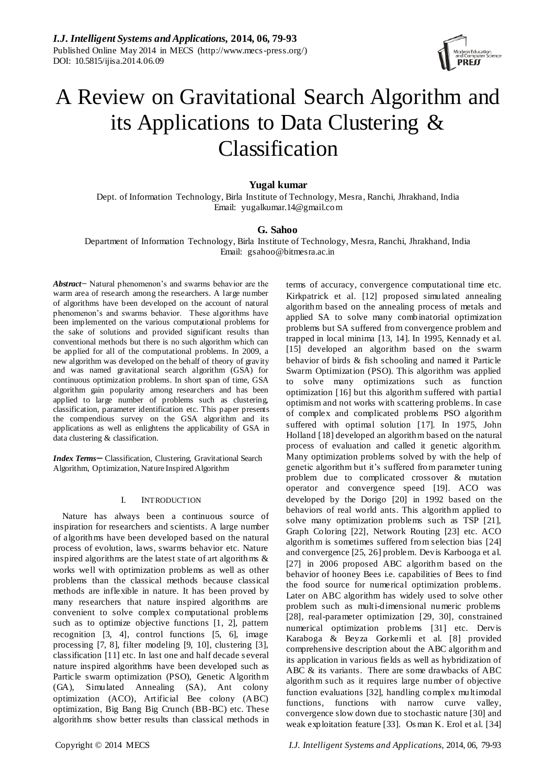

# A Review on Gravitational Search Algorithm and its Applications to Data Clustering & Classification

## **Yugal kumar**

Dept. of Information Technology, Birla Institute of Technology, Mesra, Ranchi, Jhrakhand, India Email: yugalkumar.14@gmail.com

# **G. Sahoo**

Department of Information Technology, Birla Institute of Technology, Mesra, Ranchi, Jhrakhand, India Email: gsahoo@bitmesra.ac.in

*Abstract−* Natural phenomenon's and swarms behavior are the warm area of research among the researchers. A large number of algorithms have been developed on the account of natural phenomenon's and swarms behavior. These algorithms have been implemented on the various computational problems for the sake of solutions and provided significant results than conventional methods but there is no such algorithm which can be applied for all of the computational problems. In 2009, a new algorithm was developed on the behalf of theory of gravity and was named gravitational search algorithm (GSA) for continuous optimization problems. In short span of time, GSA algorithm gain popularity among researchers and has been applied to large number of problems such as clustering, classification, parameter identification etc. This paper presents the compendious survey on the GSA algorithm and its applications as well as enlightens the applicability of GSA in data clustering & classification.

*Index Terms*<sup>−</sup> Classification, Clustering, Gravitational Search Algorithm, Optimization, Nature Inspired Algorithm

#### I. INTRODUCTION

Nature has always been a continuous source of inspiration for researchers and scientists. A large number of algorithms have been developed based on the natural process of evolution, laws, swarms behavior etc. Nature inspired algorithms are the latest state of art algorithms  $\&$ works well with optimization problems as well as other problems than the classical methods because classical methods are inflexible in nature. It has been proved by many researchers that nature inspired algorithms are convenient to solve complex computational problems such as to optimize objective functions [1, 2], pattern recognition [3, 4], control functions [5, 6], image processing [7, 8], filter modeling [9, 10], clustering [3], classification [11] etc. In last one and half decade s everal nature inspired algorithms have been developed such as Particle swarm optimization (PSO), Genetic Algorithm (GA), Simulated Annealing (SA), Ant colony optimization (ACO), Artificial Bee colony (ABC) optimization, Big Bang Big Crunch (BB-BC) etc. These algorithms show better results than classical methods in

problems but SA suffered from convergence problem and trapped in local minima [13, 14]. In 1995, Kennady et al. [15] developed an algorithm based on the swarm behavior of birds & fish schooling and named it Particle Swarm Optimization (PSO). This algorithm was applied to solve many optimizations such as function optimization [16] but this algorithm suffered with partial optimism and not works with scattering problems. In case of complex and complicated problems PSO algorithm suffered with optimal solution [17]. In 1975, John Holland [18] developed an algorithm based on the natural process of evaluation and called it genetic algorithm. Many optimization problems solved by with the help of genetic algorithm but it's suffered from parameter tuning problem due to complicated crossover & mutation operator and convergence speed [19]. ACO was developed by the Dorigo [20] in 1992 based on the behaviors of real world ants. This algorithm applied to solve many optimization problems such as TSP [21], Graph Coloring [22], Network Routing [23] etc. ACO algorithm is sometimes suffered from selection bias [24] and convergence [25, 26] problem. Devis Karbooga et al. [27] in 2006 proposed ABC algorithm based on the behavior of hooney Bees i.e. capabilities of Bees to find the food source for numerical optimization problems. Later on ABC algorithm has widely used to solve other problem such as multi-dimensional numeric problems [28], real-parameter optimization [29, 30], constrained numerical optimization problems [31] etc. Dervis Karaboga & Beyza Gorkemli et al. [8] provided comprehensive description about the ABC algorithm and its application in various fields as well as hybridization of ABC & its variants. There are some drawbacks of ABC algorithm such as it requires large number of objective function evaluations [32], handling complex multimodal functions, functions with narrow curve valley, convergence slow down due to stochastic nature [30] and weak exploitation feature [33]. Os man K. Erol et al. [34]

terms of accuracy, convergence computational time etc. Kirkpatrick et al. [12] proposed simulated annealing algorithm based on the annealing process of metals and applied SA to solve many combinatorial optimization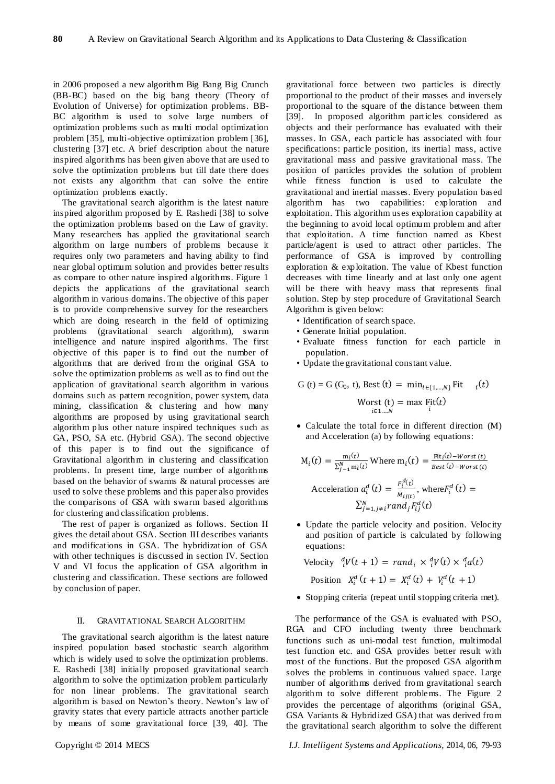in 2006 proposed a new algorithm Big Bang Big Crunch (BB-BC) based on the big bang theory (Theory of Evolution of Universe) for optimization problems. BB-BC algorithm is used to solve large numbers of optimization problems such as multi modal optimization problem [35], multi-objective optimization problem [36], clustering [37] etc. A brief description about the nature inspired algorithms has been given above that are used to solve the optimization problems but till date there does not exists any algorithm that can solve the entire optimization problems exactly.

The gravitational search algorithm is the latest nature inspired algorithm proposed by E. Rashedi [38] to solve the optimization problems based on the Law of gravity. Many researchers has applied the gravitational search algorithm on large numbers of problems because it requires only two parameters and having ability to find near global optimum solution and provides better results as compare to other nature inspired algorithms. Figure 1 depicts the applications of the gravitational search algorithm in various domains. The objective of this paper is to provide comprehensive survey for the researchers which are doing research in the field of optimizing problems (gravitational search algorithm), swarm intelligence and nature inspired algorithms. The first objective of this paper is to find out the number of algorithms that are derived from the original GSA to solve the optimization problems as well as to find out the application of gravitational search algorithm in various domains such as pattern recognition, power system, data mining, classification & clustering and how many algorithms are proposed by using gravitational search algorithm plus other nature inspired techniques such as GA, PSO, SA etc. (Hybrid GSA). The second objective of this paper is to find out the significance of Gravitational algorithm in clustering and classification problems. In present time, large number of algorithms based on the behavior of swarms & natural processes are used to solve these problems and this paper also provides the comparisons of GSA with swarm based algorithms for clustering and classification problems.

The rest of paper is organized as follows. Section II gives the detail about GSA. Section III describes variants and modifications in GSA. The hybridization of GSA with other techniques is discussed in section IV. Section V and VI focus the application of GSA algorithm in clustering and classification. These sections are followed by conclusion of paper.

#### II. GRAVITATIONAL SEARCH ALGORITHM

The gravitational search algorithm is the latest nature inspired population based stochastic search algorithm which is widely used to solve the optimization problems. E. Rashedi [38] initially proposed gravitational search algorithm to solve the optimization problem particularly for non linear problems. The gravitational search algorithm is based on Newton's theory. Newton's law of gravity states that every particle attracts another particle by means of some gravitational force [39, 40]. The

gravitational force between two particles is directly proportional to the product of their masses and inversely proportional to the square of the distance between them [39]. In proposed algorithm particles considered as objects and their performance has evaluated with their masses. In GSA, each particle has associated with four specifications: particle position, its inertial mass, active gravitational mass and passive gravitational mass. The position of particles provides the solution of problem while fitness function is used to calculate the gravitational and inertial masses. Every population based algorithm has two capabilities: exploration and exploitation. This algorithm uses exploration capability at the beginning to avoid local optimum problem and after that exploitation. A time function named as Kbest particle/agent is used to attract other particles. The performance of GSA is improved by controlling exploration & exploitation. The value of Kbest function decreases with time linearly and at last only one agent will be there with heavy mass that represents final solution. Step by step procedure of Gravitational Search Algorithm is given below:

- Identification of search space.
- Generate Initial population.
- Evaluate fitness function for each particle in population.
- Update the gravitational constant value.

G (t) = G (G<sub>0</sub>, t), Best (t) = 
$$
\min_{i \in \{1, \ldots, N\}}
$$
Fit  $\qquad$   
Worst (t) = max Fit(t)  
 $\qquad \qquad$  $\lim_{i \in 1, \ldots, N}$ 

• Calculate the total force in different direction (M) and Acceleration (a) by following equations:

$$
M_i(t) = \frac{m_i(t)}{\sum_{j=1}^{N} m_i(t)} \text{ Where } m_i(t) = \frac{Fit_i(t) - \text{Worst}(t)}{\text{Best}(t) - \text{Worst}(t)}
$$
  
Acceleration  $a_i^d(t) = \frac{F_i^d(t)}{M_{ij(t)}}$ , where  $F_i^d(t) = \sum_{j=1, j \neq i}^{N} rand_j F_{ij}^d(t)$ 

 Update the particle velocity and position. Velocity and position of particle is calculated by following equations:

$$
\text{Velocity } \, {}^d_i V(t+1) = \, rand_i \, \times \, {}^d_i V(t) \times \, {}^d_i a(t)
$$

Position 
$$
X_i^d(t+1) = X_i^d(t) + V_i^d(t+1)
$$

Stopping criteria (repeat until stopping criteria met).

The performance of the GSA is evaluated with PSO, RGA and CFO including twenty three benchmark functions such as uni-modal test function, multimodal test function etc. and GSA provides better result with most of the functions. But the proposed GSA algorithm solves the problems in continuous valued space. Large number of algorithms derived from gravitational search algorithm to solve different problems. The Figure 2 provides the percentage of algorithms (original GSA, GSA Variants & Hybridized GSA) that was derived from the gravitational search algorithm to solve the different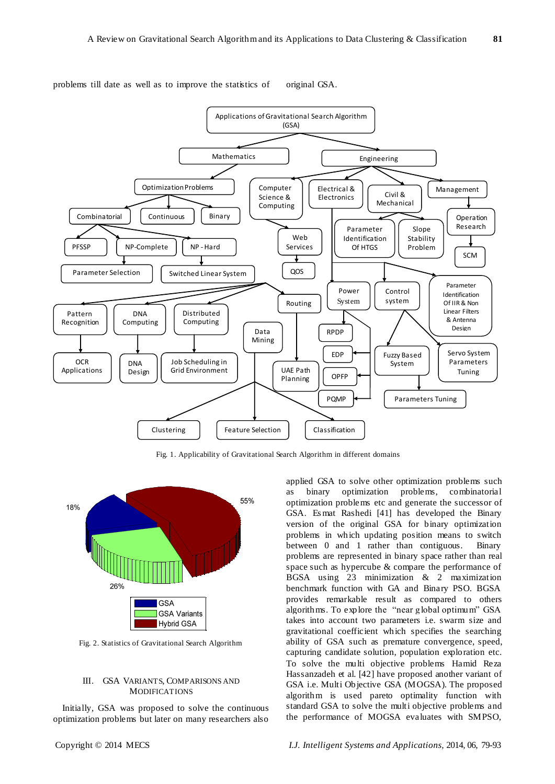

problems till date as well as to improve the statistics of original GSA.

Fig. 1. Applicability of Gravitational Search Algorithm in different domains



Fig. 2. Statistics of Gravitational Search Algorithm

#### III. GSA VARIANTS, COMPARISONS AND MODIFICATIONS

Initially, GSA was proposed to solve the continuous optimization problems but later on many researchers also

applied GSA to solve other optimization problems such as binary optimization problems, combinatorial optimization problems etc and generate the successor of GSA. Es mat Rashedi [41] has developed the Binary version of the original GSA for binary optimization problems in which updating position means to switch between 0 and 1 rather than contiguous. Binary problems are represented in binary space rather than real space such as hypercube & compare the performance of BGSA using 23 minimization & 2 maximization benchmark function with GA and Binary PSO. BGSA provides remarkable result as compared to others algorithms. To explore the "near global optimum" GSA takes into account two parameters i.e. swarm size and gravitational coefficient which specifies the searching ability of GSA such as premature convergence, speed, capturing candidate solution, population exploration etc. To solve the multi objective problems Hamid Reza Hassanzadeh et al. [42] have proposed another variant of GSA i.e. Multi Objective GSA (MOGSA). The proposed algorithm is used pareto optimality function with standard GSA to solve the multi objective problems and the performance of MOGSA evaluates with SMPSO,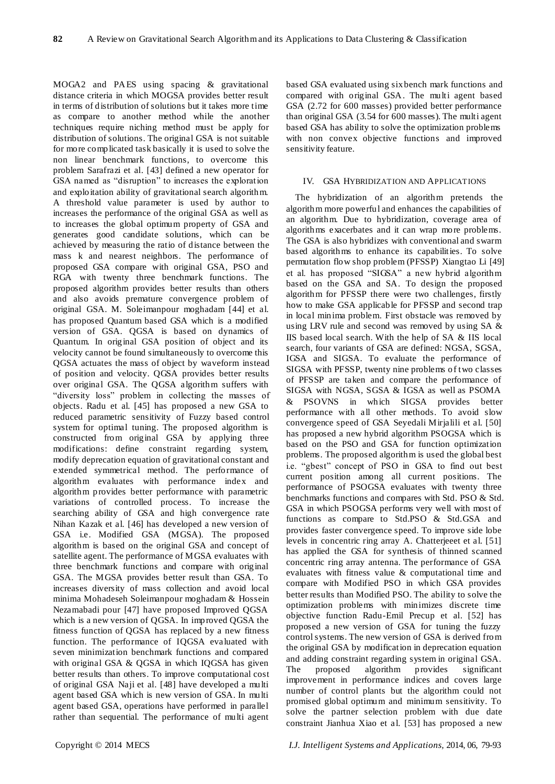MOGA2 and PAES using spacing & gravitational distance criteria in which MOGSA provides better result in terms of distribution of solutions but it takes more time as compare to another method while the another techniques require niching method must be apply for distribution of solutions. The original GSA is not suitable for more complicated task basically it is used to solve the non linear benchmark functions, to overcome this problem Sarafrazi et al. [43] defined a new operator for GSA named as "disruption" to increases the exploration and exploitation ability of gravitational search algorithm. A threshold value parameter is used by author to increases the performance of the original GSA as well as to increases the global optimum property of GSA and generates good candidate solutions, which can be achieved by measuring the ratio of distance between the mass k and nearest neighbors. The performance of proposed GSA compare with original GSA, PSO and RGA with twenty three benchmark functions. The proposed algorithm provides better results than others and also avoids premature convergence problem of original GSA. M. Soleimanpour moghadam [44] et al. has proposed Quantum based GSA which is a modified version of GSA. QGSA is based on dynamics of Quantum. In original GSA position of object and its velocity cannot be found simultaneously to overcome this QGSA actuates the mass of object by waveform instead of position and velocity. QGSA provides better results over original GSA. The QGSA algorithm suffers with "diversity loss" problem in collecting the masses of objects. Radu et al. [45] has proposed a new GSA to reduced parametric sensitivity of Fuzzy based control system for optimal tuning. The proposed algorithm is constructed from original GSA by applying three modifications: define constraint regarding system, modify deprecation equation of gravitational constant and extended symmetrical method. The performance of algorithm evaluates with performance index and algorithm provides better performance with parametric variations of controlled process. To increase the searching ability of GSA and high convergence rate Nihan Kazak et al. [46] has developed a new version of GSA i.e. Modified GSA (MGSA). The proposed algorithm is based on the original GSA and concept of satellite agent. The performance of MGSA evaluates with three benchmark functions and compare with original GSA. The MGSA provides better result than GSA. To increases diversity of mass collection and avoid local minima Mohadeseh Soleimanpour moghadam & Hossein Nezamabadi pour [47] have proposed Improved QGSA which is a new version of QGSA. In improved QGSA the fitness function of QGSA has replaced by a new fitness function. The performance of IQGSA evaluated with seven minimization benchmark functions and compared with original GSA & QGSA in which IQGSA has given better results than others. To improve computational cost of original GSA Naji et al. [48] have developed a multi agent based GSA which is new version of GSA. In multi agent based GSA, operations have performed in parallel rather than sequential. The performance of multi agent

based GSA evaluated using six bench mark functions and compared with original GSA. The multi agent based GSA (2.72 for 600 masses) provided better performance than original GSA (3.54 for 600 masses). The multi agent based GSA has ability to solve the optimization problems with non convex objective functions and improved sensitivity feature.

#### IV. GSA HYBRIDIZATION AND APPLICATIONS

The hybridization of an algorithm pretends the algorithm more powerful and enhances the capabilities of an algorithm. Due to hybridization, coverage area of algorithms exacerbates and it can wrap more problems. The GSA is also hybridizes with conventional and swarm based algorithms to enhance its capabilities. To solve permutation flow shop problem (PFSSP) Xiangtao Li [49] et al. has proposed "SIGSA" a new hybrid algorithm based on the GSA and SA. To design the proposed algorithm for PFSSP there were two challenges, firstly how to make GSA applicable for PFSSP and second trap in local minima problem. First obstacle was removed by using LRV rule and second was removed by using SA & IIS based local search. With the help of SA & IIS local search, four variants of GSA are defined: NGSA, SGSA, IGSA and SIGSA. To evaluate the performance of SIGSA with PFSSP, twenty nine problems of two classes of PFSSP are taken and compare the performance of SIGSA with NGSA, SGSA & IGSA as well as PSOMA & PSOVNS in which SIGSA provides better performance with all other methods. To avoid slow convergence speed of GSA Seyedali Mirjalili et al. [50] has proposed a new hybrid algorithm PSOGSA which is based on the PSO and GSA for function optimization problems. The proposed algorithm is used the global best i.e. "gbest" concept of PSO in GSA to find out best current position among all current positions. The performance of PSOGSA evaluates with twenty three benchmarks functions and compares with Std. PSO & Std. GSA in which PSOGSA performs very well with most of functions as compare to Std.PSO & Std.GSA and provides faster convergence speed. To improve side lobe levels in concentric ring array A. Chatterjeeet et al. [51] has applied the GSA for synthesis of thinned scanned concentric ring array antenna. The performance of GSA evaluates with fitness value & computational time and compare with Modified PSO in which GSA provides better results than Modified PSO. The ability to solve the optimization problems with minimizes discrete time objective function Radu-Emil Precup et al. [52] has proposed a new version of GSA for tuning the fuzzy control systems. The new version of GSA is derived from the original GSA by modification in deprecation equation and adding constraint regarding system in original GSA. The proposed algorithm provides significant improvement in performance indices and covers large number of control plants but the algorithm could not promised global optimum and minimum sensitivity. To solve the partner selection problem with due date constraint Jianhua Xiao et al. [53] has proposed a new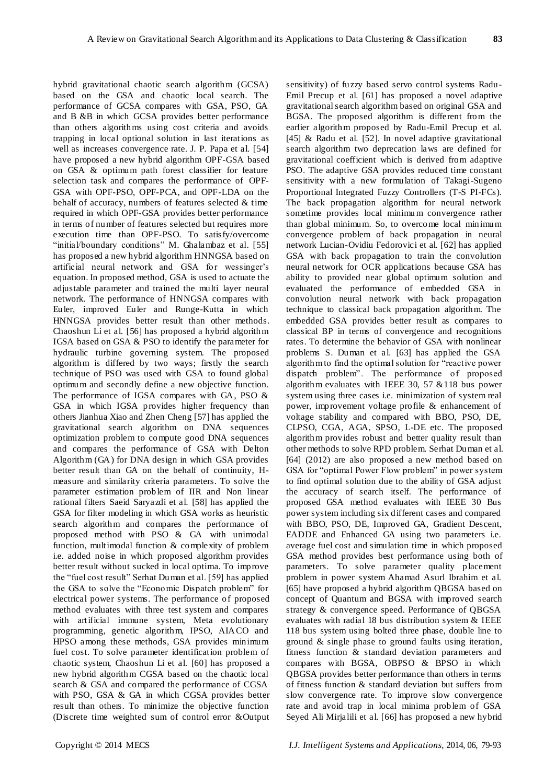hybrid gravitational chaotic search algorithm (GCSA) based on the GSA and chaotic local search. The performance of GCSA compares with GSA, PSO, GA and B &B in which GCSA provides better performance than others algorithms using cost criteria and avoids trapping in local optional solution in last iterations as well as increases convergence rate. J. P. Papa et al. [54] have proposed a new hybrid algorithm OPF-GSA based on GSA & optimum path forest classifier for feature selection task and compares the performance of OPF-GSA with OPF-PSO, OPF-PCA, and OPF-LDA on the behalf of accuracy, numbers of features selected & time required in which OPF-GSA provides better performance in terms of number of features selected but requires more execution time than OPF-PSO. To satisfy/overcome "initial/boundary conditions" M. Ghalambaz et al. [55] has proposed a new hybrid algorithm HNNGSA based on artificial neural network and GSA for wessinger's equation. In proposed method, GSA is used to actuate the adjustable parameter and trained the multi layer neural network. The performance of HNNGSA compares with Euler, improved Euler and Runge-Kutta in which HNNGSA provides better result than other methods. Chaoshun Li et al. [56] has proposed a hybrid algorithm IGSA based on GSA & PSO to identify the parameter for hydraulic turbine governing system. The proposed algorithm is differed by two ways; firstly the search technique of PSO was used with GSA to found global optimum and secondly define a new objective function. The performance of IGSA compares with GA, PSO & GSA in which IGSA provides higher frequency than others Jianhua Xiao and Zhen Cheng [57] has applied the gravitational search algorithm on DNA sequences optimization problem to compute good DNA sequences and compares the performance of GSA with Delton Algorithm (GA) for DNA design in which GSA provides better result than GA on the behalf of continuity, Hmeasure and similarity criteria parameters. To solve the parameter estimation problem of IIR and Non linear rational filters Saeid Saryazdi et al. [58] has applied the GSA for filter modeling in which GSA works as heuristic search algorithm and compares the performance of proposed method with PSO & GA with unimodal function, multimodal function & complexity of problem i.e. added noise in which proposed algorithm provides better result without sucked in local optima. To improve the "fuel cost result" Serhat Duman et al. [59] has applied the GSA to solve the "Economic Dispatch problem" for electrical power systems. The performance of proposed method evaluates with three test system and compares with artificial immune system, Meta evolutionary programming, genetic algorithm, IPSO, AIACO and HPSO among these methods, GSA provides minimum fuel cost. To solve parameter identification problem of chaotic system, Chaoshun Li et al. [60] has proposed a new hybrid algorithm CGSA based on the chaotic local search & GSA and compared the performance of CGSA with PSO, GSA & GA in which CGSA provides better result than others. To minimize the objective function (Discrete time weighted sum of control error &Output

sensitivity) of fuzzy based servo control systems Radu-Emil Precup et al. [61] has proposed a novel adaptive gravitational search algorithm based on original GSA and BGSA. The proposed algorithm is different from the earlier algorithm proposed by Radu-Emil Precup et al. [45] & Radu et al. [52]. In novel adaptive gravitational search algorithm two deprecation laws are defined for gravitational coefficient which is derived from adaptive PSO. The adaptive GSA provides reduced time constant sensitivity with a new formulation of Takagi-Sugeno Proportional Integrated Fuzzy Controllers (T-S PI-FCs). The back propagation algorithm for neural network sometime provides local minimum convergence rather than global minimum. So, to overcome local minimum convergence problem of back propagation in neural network Lucian-Ovidiu Fedorovici et al. [62] has applied GSA with back propagation to train the convolution neural network for OCR applications because GSA has ability to provided near global optimum solution and evaluated the performance of embedded GSA in convolution neural network with back propagation technique to classical back propagation algorithm. The embedded GSA provides better result as compares to classical BP in terms of convergence and recognitions rates. To determine the behavior of GSA with nonlinear problems S. Duman et al. [63] has applied the GSA algorithm to find the optimal solution for "reactive power dispatch problem". The performance of proposed algorithm evaluates with IEEE 30, 57 &118 bus power system using three cases i.e. minimization of system real power, improvement voltage profile & enhancement of voltage stability and compared with BBO, PSO, DE, CLPSO, CGA, AGA, SPSO, L-DE etc. The proposed algorithm provides robust and better quality result than other methods to solve RPD problem. Serhat Duman et al. [64] (2012) are also proposed a new method based on GSA for "optimal Power Flow problem" in power system to find optimal solution due to the ability of GSA adjust the accuracy of search itself. The performance of proposed GSA method evaluates with IEEE 30 Bus power system including six different cases and compared with BBO, PSO, DE, Improved GA, Gradient Descent, EADDE and Enhanced GA using two parameters i.e. average fuel cost and simulation time in which proposed GSA method provides best performance using both of parameters. To solve parameter quality placement problem in power system Ahamad Asurl Ibrahim et al. [65] have proposed a hybrid algorithm QBGSA based on concept of Quantum and BGSA with improved search strategy & convergence speed. Performance of QBGSA evaluates with radial 18 bus distribution system & IEEE 118 bus system using bolted three phase, double line to ground & single phase to ground faults using iteration, fitness function & standard deviation parameters and compares with BGSA, OBPSO & BPSO in which QBGSA provides better performance than others in terms of fitness function & standard deviation but suffers from slow convergence rate. To improve slow convergence rate and avoid trap in local minima problem of GSA [Seyed Ali Mirjalili](http://www.sciencedirect.com/science/article/pii/S0096300312004857) et al. [66] has proposed a new hybrid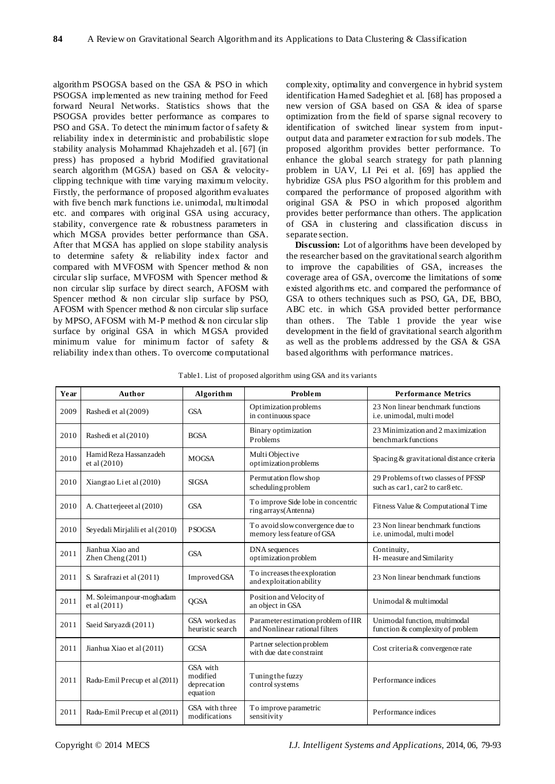algorithm PSOGSA based on the GSA & PSO in which PSOGSA implemented as new training method for Feed forward Neural Networks. Statistics shows that the PSOGSA provides better performance as compares to PSO and GSA. To detect the minimum factor of safety & reliability index in deterministic and probabilistic slope stability analysis Mohammad Khajehzadeh et al. [67] (in press) has proposed a hybrid Modified gravitational search algorithm (MGSA) based on GSA & velocityclipping technique with time varying maximum velocity. Firstly, the performance of proposed algorithm evaluates with five bench mark functions i.e. unimodal, multimodal etc. and compares with original GSA using accuracy, stability, convergence rate & robustness parameters in which MGSA provides better performance than GSA. After that MGSA has applied on slope stability analysis to determine safety & reliability index factor and compared with MVFOSM with Spencer method & non circular slip surface, MVFOSM with Spencer method & non circular slip surface by direct search, AFOSM with Spencer method & non circular slip surface by PSO, AFOSM with Spencer method & non circular slip surface by MPSO, AFOSM with M-P method & non circular slip surface by original GSA in which MGSA provided minimum value for minimum factor of safety & reliability index than others. To overcome computational

complexity, optimality and convergence in hybrid system identification Hamed Sadeghiet et al. [68] has proposed a new version of GSA based on GSA & idea of sparse optimization from the field of sparse signal recovery to identification of switched linear system from inputoutput data and parameter extraction for sub models. The proposed algorithm provides better performance. To enhance the global search strategy for path planning problem in UAV, LI Pei et al. [69] has applied the hybridize GSA plus PSO algorithm for this problem and compared the performance of proposed algorithm with original GSA & PSO in which proposed algorithm provides better performance than others. The application of GSA in clustering and classification discuss in separate section.

**Discussion:** Lot of algorithms have been developed by the researcher based on the gravitational search algorithm to improve the capabilities of GSA, increases the coverage area of GSA, overcome the limitations of some existed algorithms etc. and compared the performance of GSA to others techniques such as PSO, GA, DE, BBO, ABC etc. in which GSA provided better performance than others. The Table 1 provide the year wise development in the field of gravitational search algorithm as well as the problems addressed by the GSA & GSA based algorithms with performance matrices.

Table1. List of proposed algorithm using GSA and its variants

| Year | Author                                   | Algorithm                                       | Problem                                                                | <b>Performance Metrics</b>                                             |
|------|------------------------------------------|-------------------------------------------------|------------------------------------------------------------------------|------------------------------------------------------------------------|
| 2009 | Rashedi et al (2009)                     | <b>GSA</b>                                      | Optimization problems<br>in continuous space                           | 23 Non linear benchmark functions<br>i.e. unimodal, multi model        |
| 2010 | Rashedi et al (2010)                     | <b>BGSA</b>                                     | Binary optimization<br>Problems                                        | 23 Minimization and 2 maximization<br>benchmark functions              |
| 2010 | Hamid Reza Hassanzadeh<br>et al (2010)   | <b>MOGSA</b>                                    | Multi Objective<br>optimization problems                               | Spacing & gravitational distance criteria                              |
| 2010 | Xiangtao Li et al (2010)                 | <b>SIGSA</b>                                    | Permutation flow shop<br>scheduling problem                            | 29 Problems of two classes of PFSSP<br>such as car1, car2 to car8 etc. |
| 2010 | A. Chatterjee et al (2010)               | <b>GSA</b>                                      | To improve Side lobe in concentric<br>ring arrays(Antenna)             | Fitness Value & Computational Time                                     |
| 2010 | Seyedali Mirjalili et al (2010)          | <b>PSOGSA</b>                                   | To avoid slow convergence due to<br>memory less feature of GSA         | 23 Non linear benchmark functions<br>i.e. unimodal, multi model        |
| 2011 | Jianhua Xiao and<br>Zhen Cheng (2011)    | <b>GSA</b>                                      | DNA sequences<br>optimization problem                                  | Continuity,<br>H- measure and Similarity                               |
| 2011 | S. Sarafrazi et al (2011)                | Improved GSA                                    | To increases the exploration<br>and exploitation ability               | 23 Non linear benchmark functions                                      |
| 2011 | M. Soleimanpour-moghadam<br>et al (2011) | <b>OGSA</b>                                     | Position and Velocity of<br>an object in GSA                           | Unimodal & multimodal                                                  |
| 2011 | Saeid Saryazdi (2011)                    | GSA worked as<br>heuristic search               | Parameter est imation problem of IIR<br>and Nonlinear rational filters | Unimodal function, multimodal<br>function & complexity of problem      |
| 2011 | Jianhua Xiao et al (2011)                | <b>GCSA</b>                                     | Partner selection problem<br>with due date constraint                  | Cost criteria & convergence rate                                       |
| 2011 | Radu-Emil Precup et al (2011)            | GSA with<br>modified<br>deprecation<br>equation | Tuning the fuzzy<br>control systems                                    | Performance indices                                                    |
| 2011 | Radu-Emil Precup et al (2011)            | GSA with three<br>modifications                 | To improve parametric<br>sensitivity                                   | Performance indices                                                    |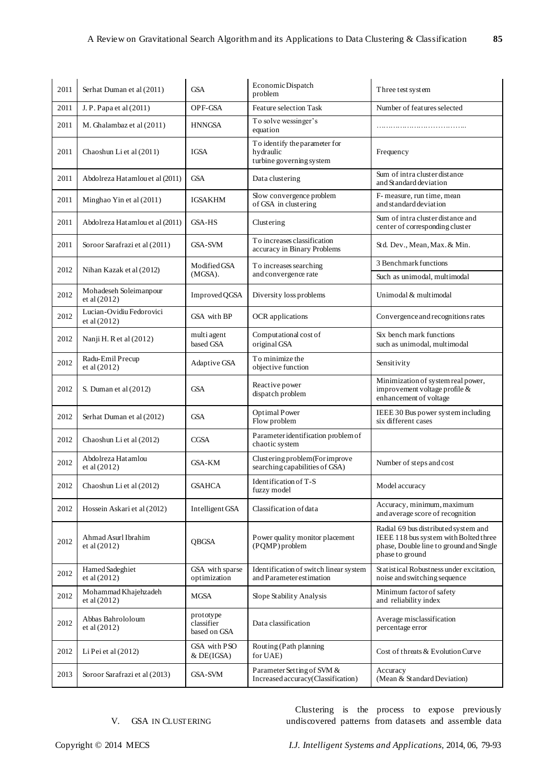| 2011 | Serhat Duman et al (2011)                | <b>GSA</b>                              | Economic Dispatch<br>problem                                           | Three test system                                                                                                                           |
|------|------------------------------------------|-----------------------------------------|------------------------------------------------------------------------|---------------------------------------------------------------------------------------------------------------------------------------------|
| 2011 | J. P. Papa et al (2011)                  | OPF-GSA                                 | Feature selection Task                                                 | Number of features selected                                                                                                                 |
| 2011 | M. Ghalambaz et al (2011)                | <b>HNNGSA</b>                           | To solve wessinger's<br>equation                                       |                                                                                                                                             |
| 2011 | Chaoshun Li et al (2011)                 | <b>IGSA</b>                             | To identify the parameter for<br>hydraulic<br>turbine governing system | Frequency                                                                                                                                   |
| 2011 | Abdolreza Hatamlou et al (2011)          | <b>GSA</b>                              | Data clustering                                                        | Sum of intra cluster distance<br>and Standard deviation                                                                                     |
| 2011 | Minghao Yin et al (2011)                 | <b>IGSAKHM</b>                          | Slow convergence problem<br>of GSA in clustering                       | F- measure, run time, mean<br>and standard deviation                                                                                        |
| 2011 | Abdolreza Hatamlou et al (2011)          | <b>GSA-HS</b>                           | Clustering                                                             | Sum of intra cluster distance and<br>center of corresponding cluster                                                                        |
| 2011 | Soroor Sarafrazi et al (2011)            | <b>GSA-SVM</b>                          | To increases classification<br>accuracy in Binary Problems             | Std. Dev., Mean, Max. & Min.                                                                                                                |
|      |                                          | Modified GSA                            | To increases searching                                                 | 3 Benchmark functions                                                                                                                       |
| 2012 | Nihan Kazak et al (2012)                 | $(MGSA)$ .                              | and convergence rate                                                   | Such as unimodal, multimodal                                                                                                                |
| 2012 | Mohadeseh Soleimanpour<br>et al (2012)   | Improved QGSA                           | Diversity loss problems                                                | Unimodal & multimodal                                                                                                                       |
| 2012 | Lucian-Ovidiu Fedorovici<br>et al (2012) | GSA with BP                             | OCR applications                                                       | Convergence and recognitions rates                                                                                                          |
| 2012 | Nanji H. R et al (2012)                  | multi agent<br>based GSA                | Computational cost of<br>original GSA                                  | Six bench mark functions<br>such as unimodal, multimodal                                                                                    |
| 2012 | Radu-Emil Precup<br>et al (2012)         | Adaptive GSA                            | To minimize the<br>objective function                                  | Sensitivity                                                                                                                                 |
| 2012 | S. Duman et al $(2012)$                  | <b>GSA</b>                              | Reactive power<br>dispatch problem                                     | Minimization of system real power,<br>improvement voltage profile &<br>enhancement of voltage                                               |
| 2012 | Serhat Duman et al (2012)                | <b>GSA</b>                              | Optimal Power<br>Flow problem                                          | IEEE 30 Bus power system including<br>six different cases                                                                                   |
| 2012 | Chaoshun Li et al (2012)                 | <b>CGSA</b>                             | Parameter identification problem of<br>chaotic system                  |                                                                                                                                             |
| 2012 | Abdolreza Hatamlou<br>et al (2012)       | GSA-KM                                  | Clustering problem (For improve<br>searching capabilities of GSA)      | Number of steps and cost                                                                                                                    |
| 2012 | Chaoshun Li et al (2012)                 | <b>GSAHCA</b>                           | Identification of T-S<br>fuzzy model                                   | Model accuracy                                                                                                                              |
| 2012 | Hossein Askari et al (2012)              | Intelligent GSA                         | Classification of data                                                 | Accuracy, minimum, maximum<br>and average score of recognition                                                                              |
| 2012 | Ahmad Asurl Ibrahim<br>et al $(2012)$    | <b>QBGSA</b>                            | Power quality monitor placement<br>(PQMP) problem                      | Radial 69 bus distributed system and<br>IEEE 118 bus system with Bolted three<br>phase, Double line to ground and Single<br>phase to ground |
| 2012 | Hamed Sadeghiet<br>et al $(2012)$        | GSA with sparse<br>optimization         | Identification of switch linear system<br>and Parameter estimation     | Statistical Robustness under excitation,<br>noise and switching sequence                                                                    |
| 2012 | Mohammad Khajehzadeh<br>et al (2012)     | MGSA                                    | Slope Stability Analysis                                               | Minimum factor of safety<br>and reliability index                                                                                           |
| 2012 | Abbas Bahrololoum<br>et al (2012)        | prototype<br>classifier<br>based on GSA | Data classification                                                    | Average misclassification<br>percentage error                                                                                               |
| 2012 | Li Pei et al $(2012)$                    | GSA with PSO<br>& DE(IGSA)              | Routing (Path planning<br>for UAE)                                     | Cost of threats & Evolution Curve                                                                                                           |
| 2013 | Soroor Sarafrazi et al (2013)            | <b>GSA-SVM</b>                          | Parameter Setting of SVM &<br>Increased accuracy(Classification)       | Accuracy<br>(Mean & Standard Deviation)                                                                                                     |

V. GSA IN CLUSTERING

Clustering is the process to expose previously undiscovered patterns from datasets and assemble data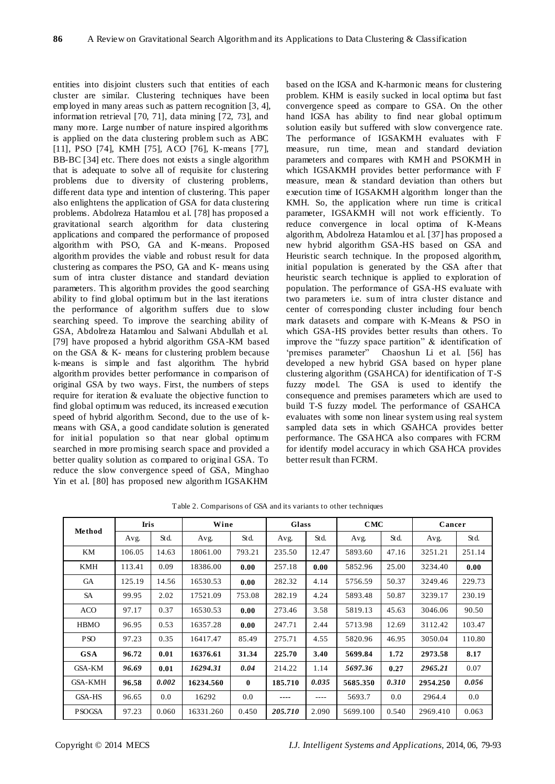entities into disjoint clusters such that entities of each cluster are similar. Clustering techniques have been employed in many areas such as pattern recognition [3, 4], information retrieval [70, 71], data mining [72, 73], and many more. Large number of nature inspired algorithms is applied on the data clustering problem such as ABC [11], PSO [74], KMH [75], ACO [76], K-means [77], BB-BC [34] etc. There does not exists a single algorithm that is adequate to solve all of requisite for clustering problems due to diversity of clustering problems, different data type and intention of clustering. This paper also enlightens the application of GSA for data clustering problems. Abdolreza Hatamlou et al. [78] has proposed a gravitational search algorithm for data clustering applications and compared the performance of proposed algorithm with PSO, GA and K-means. Proposed algorithm provides the viable and robust result for data clustering as compares the PSO, GA and K- means using sum of intra cluster distance and standard deviation parameters. This algorithm provides the good searching ability to find global optimum but in the last iterations the performance of algorithm suffers due to slow searching speed. To improve the searching ability of GSA, Abdolreza Hatamlou and Salwani Abdullah et al. [79] have proposed a hybrid algorithm GSA-KM based on the GSA & K- means for clustering problem because k-means is simple and fast algorithm. The hybrid algorithm provides better performance in comparison of original GSA by two ways. First, the numbers of steps require for iteration & evaluate the objective function to find global optimum was reduced, its increased execution speed of hybrid algorithm. Second, due to the use of kmeans with GSA, a good candidate solution is generated for initial population so that near global optimum searched in more promising search space and provided a better quality solution as compared to original GSA. To reduce the slow convergence speed of GSA, Minghao Yin et al. [80] has proposed new algorithm IGSAKHM

based on the IGSA and K-harmonic means for clustering problem. KHM is easily sucked in local optima but fast convergence speed as compare to GSA. On the other hand IGSA has ability to find near global optimum solution easily but suffered with slow convergence rate. The performance of IGSAKMH evaluates with F measure, run time, mean and standard deviation parameters and compares with KMH and PSOKMH in which IGSAKMH provides better performance with F measure, mean & standard deviation than others but execution time of IGSAKMH algorithm longer than the KMH. So, the application where run time is critical parameter, IGSAKMH will not work efficiently. To reduce convergence in local optima of K-Means algorithm, Abdolreza Hatamlou et al. [37] has proposed a new hybrid algorithm GSA-HS based on GSA and Heuristic search technique. In the proposed algorithm, initial population is generated by the GSA after that heuristic search technique is applied to exploration of population. The performance of GSA-HS evaluate with two parameters i.e. sum of intra cluster distance and center of corresponding cluster including four bench mark datasets and compare with K-Means & PSO in which GSA-HS provides better results than others. To improve the "fuzzy space partition"  $\&$  identification of 'premises parameter" Chaoshun Li et al. [56] has developed a new hybrid GSA based on hyper plane clustering algorithm (GSAHCA) for identification of T-S fuzzy model. The GSA is used to identify the consequence and premises parameters which are used to build T-S fuzzy model. The performance of GSAHCA evaluates with some non linear system using real system sampled data sets in which GSAHCA provides better performance. The GSAHCA also compares with FCRM for identify model accuracy in which GSAHCA provides better result than FCRM.

| Method         | <b>Iris</b> |       | Wine      |          | <b>Glass</b> |       | CMC      |       | Cancer   |        |
|----------------|-------------|-------|-----------|----------|--------------|-------|----------|-------|----------|--------|
|                | Avg.        | Std.  | Avg.      | Std.     | Avg.         | Std.  | Avg.     | Std.  | Avg.     | Std.   |
| KM             | 106.05      | 14.63 | 18061.00  | 793.21   | 235.50       | 12.47 | 5893.60  | 47.16 | 3251.21  | 251.14 |
| <b>KMH</b>     | 113.41      | 0.09  | 18386.00  | 0.00     | 257.18       | 0.00  | 5852.96  | 25.00 | 3234.40  | 0.00   |
| <b>GA</b>      | 125.19      | 14.56 | 16530.53  | 0.00     | 282.32       | 4.14  | 5756.59  | 50.37 | 3249.46  | 229.73 |
| SA             | 99.95       | 2.02  | 17521.09  | 753.08   | 282.19       | 4.24  | 5893.48  | 50.87 | 3239.17  | 230.19 |
| <b>ACO</b>     | 97.17       | 0.37  | 16530.53  | 0.00     | 273.46       | 3.58  | 5819.13  | 45.63 | 3046.06  | 90.50  |
| <b>HBMO</b>    | 96.95       | 0.53  | 16357.28  | 0.00     | 247.71       | 2.44  | 5713.98  | 12.69 | 3112.42  | 103.47 |
| <b>PSO</b>     | 97.23       | 0.35  | 16417.47  | 85.49    | 275.71       | 4.55  | 5820.96  | 46.95 | 3050.04  | 110.80 |
| <b>GSA</b>     | 96.72       | 0.01  | 16376.61  | 31.34    | 225.70       | 3.40  | 5699.84  | 1.72  | 2973.58  | 8.17   |
| GSA-KM         | 96.69       | 0.01  | 16294.31  | 0.04     | 214.22       | 1.14  | 5697.36  | 0.27  | 2965.21  | 0.07   |
| <b>GSA-KMH</b> | 96.58       | 0.002 | 16234.560 | $\bf{0}$ | 185.710      | 0.035 | 5685.350 | 0.310 | 2954.250 | 0.056  |
| GSA-HS         | 96.65       | 0.0   | 16292     | 0.0      | ----         | ----  | 5693.7   | 0.0   | 2964.4   | 0.0    |
| <b>PSOGSA</b>  | 97.23       | 0.060 | 16331.260 | 0.450    | 205.710      | 2.090 | 5699.100 | 0.540 | 2969.410 | 0.063  |

Table 2. Comparisons of GSA and its variants to other techniques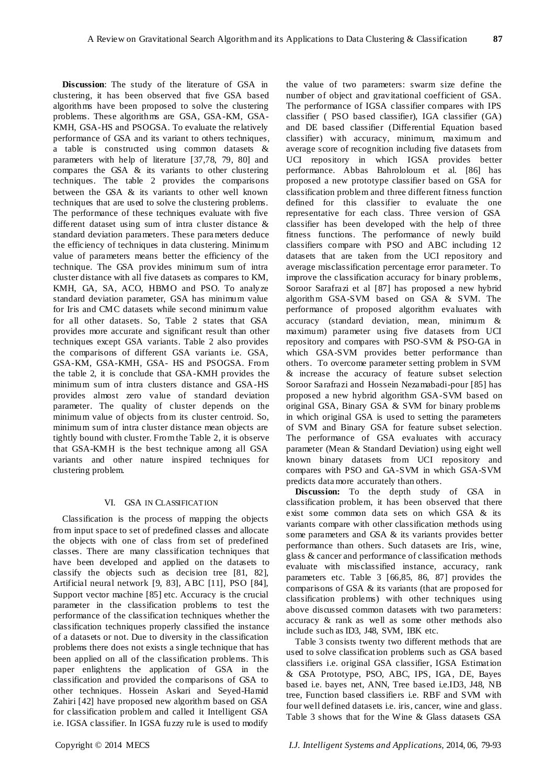**Discussion**: The study of the literature of GSA in clustering, it has been observed that five GSA based algorithms have been proposed to solve the clustering problems. These algorithms are GSA, GSA-KM, GSA-KMH, GSA-HS and PSOGSA. To evaluate the relatively performance of GSA and its variant to others techniques, a table is constructed using common datasets & parameters with help of literature [37,78, 79, 80] and compares the GSA & its variants to other clustering techniques. The table 2 provides the comparisons between the GSA & its variants to other well known techniques that are used to solve the clustering problems. The performance of these techniques evaluate with five different dataset using sum of intra cluster distance & standard deviation parameters. These parameters deduce the efficiency of techniques in data clustering. Minimum value of parameters means better the efficiency of the technique. The GSA provides minimum sum of intra cluster distance with all five datasets as compares to KM, KMH, GA, SA, ACO, HBMO and PSO. To analyze standard deviation parameter, GSA has minimum value for Iris and CMC datasets while second minimum value for all other datasets. So, Table 2 states that GSA provides more accurate and significant result than other techniques except GSA variants. Table 2 also provides the comparisons of different GSA variants i.e. GSA, GSA-KM, GSA-KMH, GSA- HS and PSOGSA. From the table 2, it is conclude that GSA-KMH provides the minimum sum of intra clusters distance and GSA-HS provides almost zero value of standard deviation parameter. The quality of cluster depends on the minimum value of objects from its cluster centroid. So, minimum sum of intra cluster distance mean objects are tightly bound with cluster. From the Table 2, it is observe that GSA-KMH is the best technique among all GSA variants and other nature inspired techniques for clustering problem.

#### VI. GSA IN CLASSIFICATION

Classification is the process of mapping the objects from input space to set of predefined classes and allocate the objects with one of class from set of predefined classes. There are many classification techniques that have been developed and applied on the datasets to classify the objects such as decision tree [81, 82], Artificial neural network [9, 83], ABC [11], PSO [84], Support vector machine [85] etc. Accuracy is the crucial parameter in the classification problems to test the performance of the classification techniques whether the classification techniques properly classified the instance of a datasets or not. Due to diversity in the classification problems there does not exists a single technique that has been applied on all of the classification problems. This paper enlightens the application of GSA in the classification and provided the comparisons of GSA to other techniques. Hossein Askari and Seyed-Hamid Zahiri [42] have proposed new algorithm based on GSA for classification problem and called it Intelligent GSA i.e. IGSA classifier. In IGSA fuzzy rule is used to modify

the value of two parameters: swarm size define the number of object and gravitational coefficient of GSA. The performance of IGSA classifier compares with IPS classifier ( PSO based classifier), IGA classifier (GA) and DE based classifier (Differential Equation based classifier) with accuracy, minimum, maximum and average score of recognition including five datasets from UCI repository in which IGSA provides better performance. Abbas Bahrololoum et al. [86] has proposed a new prototype classifier based on GSA for classification problem and three different fitness function defined for this classifier to evaluate the one representative for each class. Three version of GSA classifier has been developed with the help of three fitness functions. The performance of newly build classifiers compare with PSO and ABC including 12 datasets that are taken from the UCI repository and average misclassification percentage error parameter. To improve the classification accuracy for binary problems, Soroor Sarafrazi et al [87] has proposed a new hybrid algorithm GSA-SVM based on GSA & SVM. The performance of proposed algorithm evaluates with accuracy (standard deviation, mean, minimum & maximum) parameter using five datasets from UCI repository and compares with PSO-SVM & PSO-GA in which GSA-SVM provides better performance than others. To overcome parameter setting problem in SVM & increase the accuracy of feature subset selection Soroor Sarafrazi and Hossein Nezamabadi-pour [85] has proposed a new hybrid algorithm GSA-SVM based on original GSA, Binary GSA & SVM for binary problems in which original GSA is used to setting the parameters of SVM and Binary GSA for feature subset selection. The performance of GSA evaluates with accuracy parameter (Mean & Standard Deviation) using eight well known binary datasets from UCI repository and compares with PSO and GA-SVM in which GSA-SVM predicts data more accurately than others.

**Discussion:** To the depth study of GSA in classification problem, it has been observed that there exist some common data sets on which GSA & its variants compare with other classification methods using some parameters and GSA & its variants provides better performance than others. Such datasets are Iris, wine, glass & cancer and performance of classification methods evaluate with misclassified instance, accuracy, rank parameters etc. Table 3 [66,85, 86, 87] provides the comparisons of GSA & its variants (that are proposed for classification problems) with other techniques using above discussed common datasets with two parameters: accuracy & rank as well as some other methods also include such as ID3, J48, SVM, IBK etc.

Table 3 consists twenty two different methods that are used to solve classification problems such as GSA based classifiers i.e. original GSA classifier, IGSA Estimation & GSA Prototype, PSO, ABC, IPS, IGA, DE, Bayes based i.e. bayes net, ANN, Tree based i.e.ID3, J48, NB tree, Function based classifiers i.e. RBF and SVM with four well defined datasets i.e. iris, cancer, wine and glass. Table 3 shows that for the Wine & Glass datasets GSA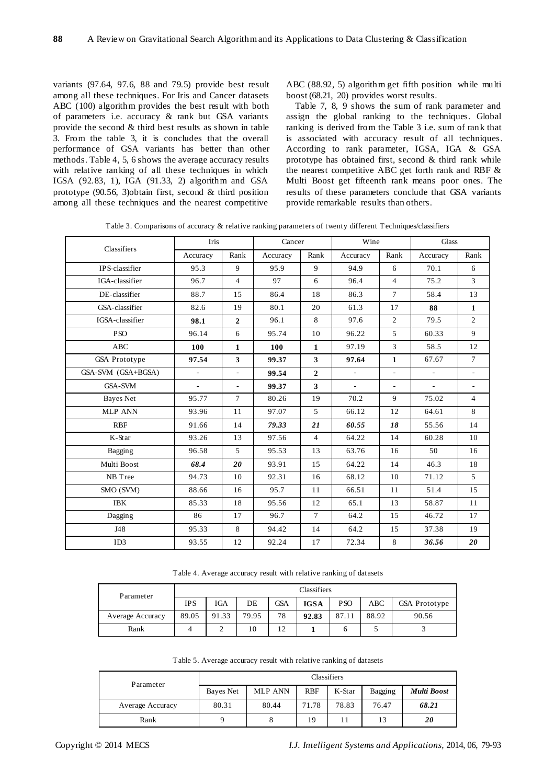variants (97.64, 97.6, 88 and 79.5) provide best result among all these techniques. For Iris and Cancer datasets ABC (100) algorithm provides the best result with both of parameters i.e. accuracy & rank but GSA variants provide the second & third best results as shown in table 3. From the table 3, it is concludes that the overall performance of GSA variants has better than other methods. Table 4, 5, 6 shows the average accuracy results with relative ranking of all these techniques in which IGSA (92.83, 1), IGA (91.33, 2) algorithm and GSA prototype (90.56, 3)obtain first, second & third position among all these techniques and the nearest competitive

ABC (88.92, 5) algorithm get fifth position while multi boost (68.21, 20) provides worst results.

Table 7, 8, 9 shows the sum of rank parameter and assign the global ranking to the techniques. Global ranking is derived from the Table 3 i.e. sum of rank that is associated with accuracy result of all techniques. According to rank parameter, IGSA, IGA & GSA prototype has obtained first, second & third rank while the nearest competitive ABC get forth rank and RBF & Multi Boost get fifteenth rank means poor ones. The results of these parameters conclude that GSA variants provide remarkable results than others.

Table 3. Comparisons of accuracy & relative ranking parameters of twenty different Techniques/classifiers

| Classifiers        | <b>Iris</b> |                | Cancer   |                         | Wine           |                          | Glass                       |                |
|--------------------|-------------|----------------|----------|-------------------------|----------------|--------------------------|-----------------------------|----------------|
|                    | Accuracy    | Rank           | Accuracy | Rank                    | Accuracy       | Rank                     | Accuracy                    | Rank           |
| IPS-classifier     | 95.3        | 9              | 95.9     | 9                       | 94.9           | 6                        | 70.1                        | 6              |
| IGA-classifier     | 96.7        | $\overline{4}$ | 97       | 6                       | 96.4           | $\overline{4}$           | 75.2                        | 3              |
| DE-classifier      | 88.7        | 15             | 86.4     | 18                      | 86.3           | $\tau$                   | 58.4                        | 13             |
| GSA-classifier     | 82.6        | 19             | 80.1     | 20                      | 61.3           | 17                       | 88                          | $\mathbf{1}$   |
| IGSA-classifier    | 98.1        | $\overline{2}$ | 96.1     | 8                       | 97.6           | $\mathbf{2}$             | 79.5                        | $\overline{c}$ |
| <b>PSO</b>         | 96.14       | 6              | 95.74    | 10                      | 96.22          | 5                        | 60.33                       | 9              |
| <b>ABC</b>         | 100         | $\mathbf{1}$   | 100      | $\mathbf{1}$            | 97.19          | $\overline{3}$           | 58.5                        | 12             |
| GSA Prototype      | 97.54       | 3              | 99.37    | 3                       | 97.64          | $\mathbf{1}$             | 67.67                       | $\tau$         |
| GSA-SVM (GSA+BGSA) | L.          | ÷              | 99.54    | $\mathbf{2}$            | $\overline{a}$ | ÷                        | $\mathcal{L}^{\mathcal{A}}$ | ÷.             |
| <b>GSA-SVM</b>     | L.          | ÷.             | 99.37    | $\overline{\mathbf{3}}$ | $\frac{1}{2}$  | $\overline{\phantom{a}}$ | $\mathbb{L}^2$              |                |
| Bayes Net          | 95.77       | $\tau$         | 80.26    | 19                      | 70.2           | 9                        | 75.02                       | $\overline{4}$ |
| <b>MLP ANN</b>     | 93.96       | 11             | 97.07    | 5                       | 66.12          | 12                       | 64.61                       | 8              |
| <b>RBF</b>         | 91.66       | 14             | 79.33    | 21                      | 60.55          | 18                       | 55.56                       | 14             |
| K-Star             | 93.26       | 13             | 97.56    | $\overline{4}$          | 64.22          | 14                       | 60.28                       | 10             |
| Bagging            | 96.58       | 5              | 95.53    | 13                      | 63.76          | 16                       | 50                          | 16             |
| Multi Boost        | 68.4        | 20             | 93.91    | 15                      | 64.22          | 14                       | 46.3                        | 18             |
| NB Tree            | 94.73       | 10             | 92.31    | 16                      | 68.12          | 10                       | 71.12                       | 5              |
| SMO (SVM)          | 88.66       | 16             | 95.7     | 11                      | 66.51          | 11                       | 51.4                        | 15             |
| <b>IBK</b>         | 85.33       | 18             | 95.56    | 12                      | 65.1           | 13                       | 58.87                       | 11             |
| Dagging            | 86          | 17             | 96.7     | $\tau$                  | 64.2           | 15                       | 46.72                       | 17             |
| J48                | 95.33       | 8              | 94.42    | 14                      | 64.2           | 15                       | 37.38                       | 19             |
| ID3                | 93.55       | 12             | 92.24    | 17                      | 72.34          | 8                        | 36.56                       | 20             |

Table 4. Average accuracy result with relative ranking of datasets

| Parameter        | Classifiers |       |       |            |       |            |       |               |
|------------------|-------------|-------|-------|------------|-------|------------|-------|---------------|
|                  | <b>IPS</b>  | IGA   | DE    | <b>GSA</b> | IGSA  | <b>PSO</b> | ABC   | GSA Prototype |
| Average Accuracy | 89.05       | 91.33 | 79.95 | 78         | 92.83 | 87.11      | 88.92 | 90.56         |
| Rank             |             |       | 10    | 12         |       |            |       |               |

Table 5. Average accuracy result with relative ranking of datasets

| Parameter        | Classifiers |                |            |        |         |             |  |  |  |
|------------------|-------------|----------------|------------|--------|---------|-------------|--|--|--|
|                  | Bayes Net   | <b>MLP ANN</b> | <b>RBF</b> | K-Star | Bagging | Multi Boost |  |  |  |
| Average Accuracy | 80.31       | 80.44          | 71.78      | 78.83  | 76.47   | 68.21       |  |  |  |
| Rank             |             |                | 19         |        | 13      | 20          |  |  |  |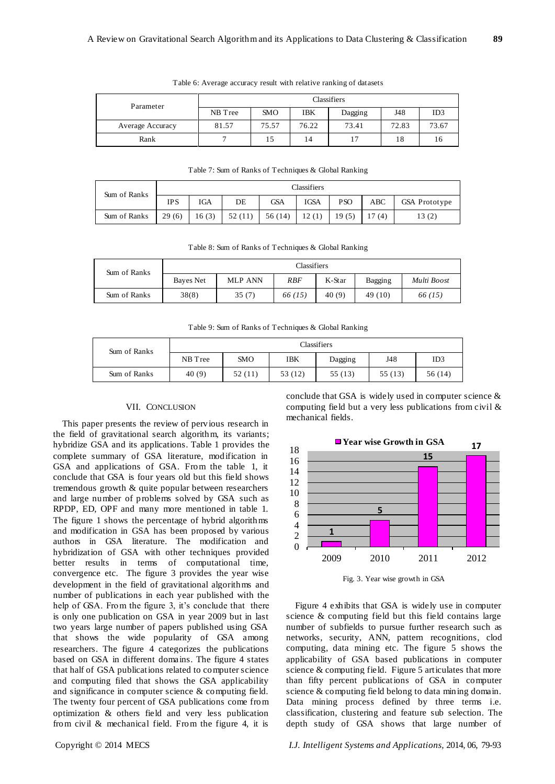| Parameter        |         |            |            | Classifiers |       |       |
|------------------|---------|------------|------------|-------------|-------|-------|
|                  | NB Tree | <b>SMO</b> | <b>IBK</b> | Dagging     | J48   | ID3   |
| Average Accuracy | 81.57   | 75.57      | 76.22      | 73.41       | 72.83 | 73.67 |
| Rank             |         | 15         | 14         |             | 18    | 16    |

Table 6: Average accuracy result with relative ranking of datasets

Table 7: Sum of Ranks of Techniques & Global Ranking

| Sum of Ranks |            | Classifiers |         |            |             |            |            |               |  |
|--------------|------------|-------------|---------|------------|-------------|------------|------------|---------------|--|
|              | <b>IPS</b> | IGA         | DE      | <b>GSA</b> | <b>IGSA</b> | <b>PSO</b> | <b>ABC</b> | GSA Prototype |  |
| Sum of Ranks | 29(6)      | 16(3)       | 52 (11) | 56 (14)    | 12(1)       | 19(5)      | 17(4)      | 13(2)         |  |

Table 8: Sum of Ranks of Techniques & Global Ranking

| Sum of Ranks |           | <b>Classifiers</b> |            |           |         |             |  |  |  |
|--------------|-----------|--------------------|------------|-----------|---------|-------------|--|--|--|
|              | Baves Net | <b>MLP ANN</b>     | <b>RBF</b> | $K$ -Star | Bagging | Multi Boost |  |  |  |
| Sum of Ranks | 38(8)     | 35(7)              | 66 (15)    | 40(9)     | 49 (10) | 66 (15)     |  |  |  |

Table 9: Sum of Ranks of Techniques & Global Ranking

| Sum of Ranks |         |            |            | Classifiers |         |         |
|--------------|---------|------------|------------|-------------|---------|---------|
|              | NB Tree | <b>SMO</b> | <b>IBK</b> | Dagging     | J48     | ID3     |
| Sum of Ranks | 40(9)   | 52 (11)    | 53 (12)    | 55 (13)     | 55 (13) | 56 (14) |

#### VII. CONCLUSION

This paper presents the review of pervious research in the field of gravitational search algorithm, its variants; hybridize GSA and its applications. Table 1 provides the complete summary of GSA literature, modification in GSA and applications of GSA. From the table 1, it conclude that GSA is four years old but this field shows tremendous growth & quite popular between researchers and large number of problems solved by GSA such as RPDP, ED, OPF and many more mentioned in table 1. The figure 1 shows the percentage of hybrid algorithms and modification in GSA has been proposed by various authors in GSA literature. The modification and hybridization of GSA with other techniques provided better results in terms of computational time, convergence etc. The figure 3 provides the year wise development in the field of gravitational algorithms and number of publications in each year published with the help of GSA. From the figure 3, it's conclude that there is only one publication on GSA in year 2009 but in last two years large number of papers published using GSA that shows the wide popularity of GSA among researchers. The figure 4 categorizes the publications based on GSA in different domains. The figure 4 states that half of GSA publications related to computer science and computing filed that shows the GSA applicability and significance in computer science & computing field. The twenty four percent of GSA publications come from optimization & others field and very less publication from civil & mechanical field. From the figure 4, it is

conclude that GSA is widely used in computer science & computing field but a very less publications from civil & mechanical fields.



Fig. 3. Year wise growth in GSA

Figure 4 exhibits that GSA is widely use in computer science & computing field but this field contains large number of subfields to pursue further research such as networks, security, ANN, pattern recognitions, clod computing, data mining etc. The figure 5 shows the applicability of GSA based publications in computer science & computing field. Figure 5 articulates that more than fifty percent publications of GSA in computer science & computing field belong to data mining domain. Data mining process defined by three terms i.e. classification, clustering and feature sub selection. The depth study of GSA shows that large number of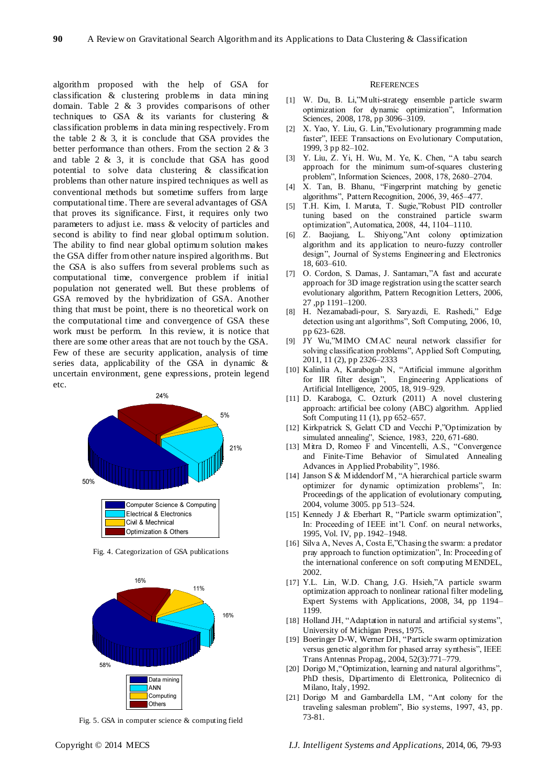algorithm proposed with the help of GSA for classification & clustering problems in data mining domain. Table 2 & 3 provides comparisons of other techniques to GSA & its variants for clustering & classification problems in data mining respectively. From the table  $2 \& 3$ , it is conclude that GSA provides the better performance than others. From the section 2 & 3 and table  $2 \& 3$ , it is conclude that GSA has good potential to solve data clustering & classification problems than other nature inspired techniques as well as conventional methods but sometime suffers from large computational time. There are several advantages of GSA that proves its significance. First, it requires only two parameters to adjust i.e. mass & velocity of particles and second is ability to find near global optimum solution. The ability to find near global optimum solution makes the GSA differ from other nature inspired algorithms. But the GSA is also suffers from several problems such as computational time, convergence problem if initial population not generated well. But these problems of GSA removed by the hybridization of GSA. Another thing that must be point, there is no theoretical work on the computational time and convergence of GSA these work must be perform. In this review, it is notice that there are some other areas that are not touch by the GSA. Few of these are security application, analysis of time series data, applicability of the GSA in dynamic & uncertain environment, gene expressions, protein legend etc.



Fig. 4. Categorization of GSA publications



Fig. 5. GSA in computer science & computing field

- [1] W. Du, B. Li,"Multi-strategy ensemble particle swarm optimization for dynamic optimization", Information Sciences, 2008, 178, pp 3096-3109.
- [2] X. Yao, Y. Liu, G. Lin, "Evolutionary programming made faster", IEEE Transactions on Evolutionary Computation, 1999, 3 pp 82–102.
- [3] Y. Liu, Z. Yi, H. Wu, M. Ye, K. Chen, "A tabu search approach for the minimum sum-of-squares clustering problem", Information Sciences, 2008, 178, 2680-2704.
- [4] X. Tan, B. Bhanu, "Fingerprint matching by genetic algorithms‖, Pattern Recognition, 2006, 39, 465–477.
- [5] T.H. Kim, I. Maruta, T. Sugie,"Robust PID controller tuning based on the constrained particle swarm optimization‖, Automatica, 2008, 44, 1104–1110.
- [6] Z. Baojiang, L. Shiyong,"Ant colony optimization algorithm and its application to neuro-fuzzy controller design", Journal of Systems Engineering and Electronics 18, 603–610.
- [7] O. Cordon, S. Damas, J. Santamarı,"A fast and accurate approach for 3D image registration using the scatter search evolutionary algorithm, Pattern Recognition Letters, 2006, 27 ,pp 1191–1200.
- [8] H. Nezamabadi-pour, S. Saryazdi, E. Rashedi," Edge detection using ant algorithms", Soft Computing, 2006, 10, pp 623- 628.
- [9] JY Wu,"MIMO CMAC neural network classifier for solving classification problems", Applied Soft Computing, 2011, 11 (2), pp 2326–2333
- [10] Kalinlia A, Karabogab N, "Artificial immune algorithm for IIR filter design", Engineering Applications of Artificial Intelligence, 2005, 18, 919–929.
- [11] D. Karaboga, C. Ozturk (2011) A novel clustering approach: artificial bee colony (ABC) algorithm. Applied Soft Computing 11 (1), pp 652–657.
- [12] Kirkpatrick S, Gelatt CD and Vecchi P,"Optimization by simulated annealing", Science, 1983, 220, 671-680.
- [13] Mitra D, Romeo F and Vincentelli, A.S., "Convergence" and Finite-Time Behavior of Simulated Annealing Advances in Applied Probability", 1986.
- [14] Janson S & Middendorf M, "A hierarchical particle swarm optimizer for dynamic optimization problems", In: Proceedings of the application of evolutionary computing, 2004, volume 3005. pp 513–524.
- [15] Kennedy J & Eberhart R, "Particle swarm optimization", In: Proceeding of IEEE int'l. Conf. on neural networks, 1995, Vol. IV, pp. 1942–1948.
- [16] Silva A, Neves A, Costa E,"Chasing the swarm: a predator pray approach to function optimization", In: Proceeding of the international conference on soft computing MENDEL, 2002.
- [17] Y.L. Lin, W.D. Chang, J.G. Hsieh,"A particle swarm optimization approach to nonlinear rational filter modeling, Expert Systems with Applications, 2008, 34, pp 1194– 1199.
- [18] Holland JH, "Adaptation in natural and artificial systems", University of Michigan Press, 1975.
- [19] Boeringer D-W, Werner DH, "Particle swarm optimization versus genetic algorithm for phased array synthesis", IEEE Trans Antennas Propag., 2004, 52(3):771–779.
- [20] Dorigo M, "Optimization, learning and natural algorithms". PhD thesis, Dipartimento di Elettronica, Politecnico di Milano, Italy, 1992.
- [21] Dorigo M and Gambardella LM, "Ant colony for the traveling salesman problem", Bio systems, 1997, 43, pp. 73-81.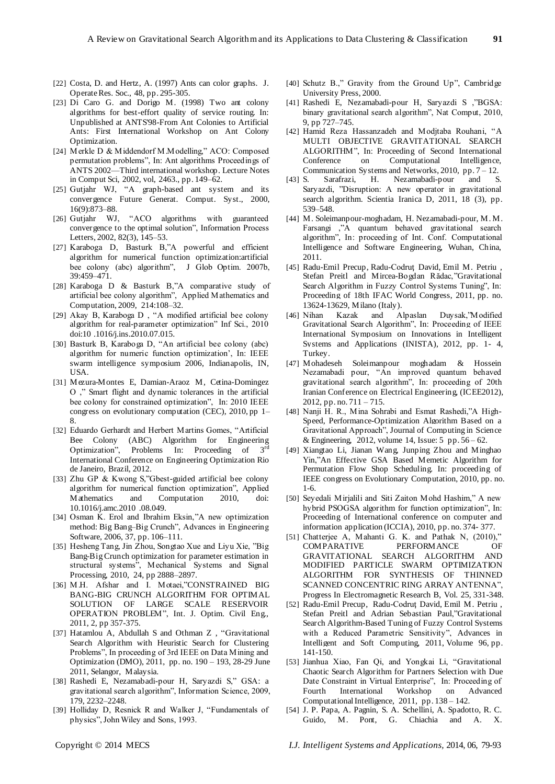- [22] Costa, D. and Hertz, A. (1997) Ants can color graphs. J. Operate Res. Soc., 48, pp. 295-305.
- [23] Di Caro G. and Dorigo M. (1998) Two ant colony algorithms for best-effort quality of service routing. In: Unpublished at ANTS'98-From Ant Colonies to Artificial Ants: First International Workshop on Ant Colony Optimization.
- [24] Merkle D & Middendorf M.Modelling," ACO: Composed permutation problems", In: Ant algorithms Proceedings of ANTS 2002—Third international workshop. Lecture Notes in Comput Sci, 2002, vol, 2463., pp. 149–62.
- [25] Gutjahr WJ, "A graph-based ant system and its convergence Future Generat. Comput. Syst., 2000, 16(9):873–88.
- [26] Gutjahr WJ, "ACO algorithms with guaranteed convergence to the optimal solution", Information Process Letters, 2002, 82(3), 145–53.
- [27] Karaboga D, Basturk B,"A powerful and efficient algorithm for numerical function optimization:artificial bee colony (abc) algorithm", J Glob Optim. 2007b, 39:459–471.
- [28] Karaboga D & Basturk B,"A comparative study of artificial bee colony algorithm", Applied Mathematics and Computation, 2009, 214:108–32.
- [29] Akay B, Karaboga D, "A modified artificial bee colony algorithm for real-parameter optimization" Inf Sci., 2010 doi:10 .1016/j.ins.2010.07.015.
- [30] Basturk B, Karaboga D, "An artificial bee colony (abc) algorithm for numeric function optimization', In: IEEE swarm intelligence symposium 2006, Indianapolis, IN, USA.
- [31] Mezura-Montes E, Damian-Araoz M, Cetina-Domingez O ," Smart flight and dynamic tolerances in the artificial bee colony for constrained optimization", In: 2010 IEEE congress on evolutionary computation (CEC), 2010, pp 1– 8.
- [32] Eduardo Gerhardt and Herbert Martins Gomes, "Artificial Bee Colony (ABC) Algorithm for Engineering Optimization", Problems In: Proceeding of  $3<sup>rd</sup>$ International Conference on Engineering Optimization Rio de Janeiro, Brazil, 2012.
- [33] Zhu GP & Kwong S,"Gbest-guided artificial bee colony algorithm for numerical function optimization", Applied Mathematics and Computation 2010, doi: 10.1016/j.amc.2010 .08.049.
- [34] Osman K. Erol and Ibrahim Eksin,"A new optimization method: Big Bang–Big Crunch", Advances in Engineering Software, 2006, 37, pp. 106–111.
- [35] Hesheng Tang, Jin Zhou, Songtao Xue and Liyu Xie, "Big Bang-Big Crunch optimization for parameter estimation in structural systems‖, Mechanical Systems and Signal Processing, 2010, 24, pp 2888–2897.
- [36] M.H. Afshar and I. Motaei,"CONSTRAINED BIG BANG-BIG CRUNCH ALGORITHM FOR OPTIMAL SOLUTION OF LARGE SCALE RESERVOIR OPERATION PROBLEM", Int. J. Optim. Civil Eng., 2011, 2, pp 357-375.
- [37] Hatamlou [A,](http://link.springer.com/search?facet-author=%22Abdolreza+Hatamlou%22) Abdullah [S](http://link.springer.com/search?facet-author=%22Salwani+Abdullah%22) and Othman Z, "Gravitational Search Algorithm with Heuristic Search for Clustering Problems", In proceeding of 3rd IEEE on Data Mining and Optimization (DMO), 2011, pp. no. 190 – 193, 28-29 June 2011, Selangor, Malaysia.
- [38] Rashedi E, Nezamabadi-pour H, Saryazdi S," GSA: a gravitational search algorithm", Information Science, 2009, 179, 2232–2248.
- [39] Holliday D, Resnick R and Walker J, "Fundamentals of physics‖, John Wiley and Sons, 1993.
- [40] Schutz B.," Gravity from the Ground Up", Cambridge University Press, 2000.
- [41] Rashedi E, Nezamabadi-pour H, Saryazdi S ,"BGSA: binary gravitational search algorithm", Nat Comput, 2010, 9, pp 727–745.
- [42] Hamid Reza Hassanzadeh and Modjtaba Rouhani, "A MULTI OBJECTIVE GRAVITATIONAL SEARCH ALGORITHM", In: Proceeding of Second International Conference on Computational Intelligence, Communication Systems and Networks, 2010, pp.  $7 - 12$ .<br>[43] S. Sarafrazi, H. Nezamabadi-pour and S.
- Nezamabadi-pour and S. Saryazdi, "Disruption: A new operator in gravitational search algorithm. Scientia Iranica D, 2011, 18 (3), pp. 539–548.
- [44] M. Soleimanpour-moghadam, H. Nezamabadi-pour, M. M. Farsangi ,"A quantum behaved gravitational search algorithm", In: proceeding of Int. Conf. Computational Intelligence and Software Engineering, Wuhan, China, 2011.
- [45] Radu-Emil Precup, Radu-Codrut David, Emil M. Petriu Stefan Preitl and Mircea-Bogdan Rădac, "Gravitational Search Algorithm in Fuzzy Control Systems Tuning", In: Proceeding of 18th IFAC World Congress, 2011, pp. no. 13624-13629, Milano (Italy).
- [46] Nihan Kazak and Alpaslan Duysak,'Modified Gravitational Search Algorithm", In: Proceeding of IEEE International Symposium on Innovations in Intelligent Systems and Applications (INISTA), 2012, pp. 1- 4, Turkey.<br>[47] Mohadeseh
- Soleimanpour moghadam & Hossein Nezamabadi pour, "An improved quantum behaved gravitational search algorithm", In: proceeding of 20th Iranian Conference on Electrical Engineering, (ICEE2012), 2012, pp. no. 711 – 715.
- [48] Nanji H. R., Mina Sohrabi and Esmat Rashedi,"A High-Speed, Performance-Optimization Algorithm Based on a Gravitational Approach", Journal of Computing in Science & Engineering, 2012, volume 14, Issue: 5 pp. 56 – 62.
- [49] Xiangtao Li, Jianan Wang, Junping Zhou and Minghao Yin,"An Effective GSA Based Memetic Algorithm for Permutation Flow Shop Scheduling. In: proceeding of IEEE congress on Evolutionary Computation, 2010, pp. no. 1-6.
- [50] Seyedali Mirjalili and Siti Zaiton Mohd Hashim," A new hybrid PSOGSA algorithm for function optimization", In: Proceeding of International conference on computer and information application (ICCIA), 2010, pp. no. 374- 377.
- [51] Chatterjee A, Mahanti G. K. and Pathak N, (2010)," COMPARATIVE PERFORMANCE OF GRAVITATIONAL SEARCH ALGORITHM AND MODIFIED PARTICLE SWARM OPTIMIZATION ALGORITHM FOR SYNTHESIS OF THINNED SCANNED CONCENTRIC RING ARRAY ANTENNA", Progress In Electromagnetic Research B, Vol. 25, 331-348.
- [52] Radu-Emil Precup, Radu-Codruţ David, Emil M. Petriu , Stefan Preitl and Adrian Sebastian Paul,"Gravitational Search Algorithm-Based Tuning of Fuzzy Control Systems with a Reduced Parametric Sensitivity", Advances in Intelligent and Soft Computing, 2011, Volume 96, pp. 141-150.
- [53] Jianhua Xiao, Fan Qi, and Yongkai Li, "Gravitational Chaotic Search Algorithm for Partners Selection with Due Date Constraint in Virtual Enterprise", In: Proceeding of Fourth International Workshop on Advanced Computational Intelligence, 2011, pp. 138 – 142.
- [54] J. P. Papa, A. Pagnin, S. A. Schellini, A. Spadotto, R. C. Guido, M. Pont, G. Chiachia and A. X.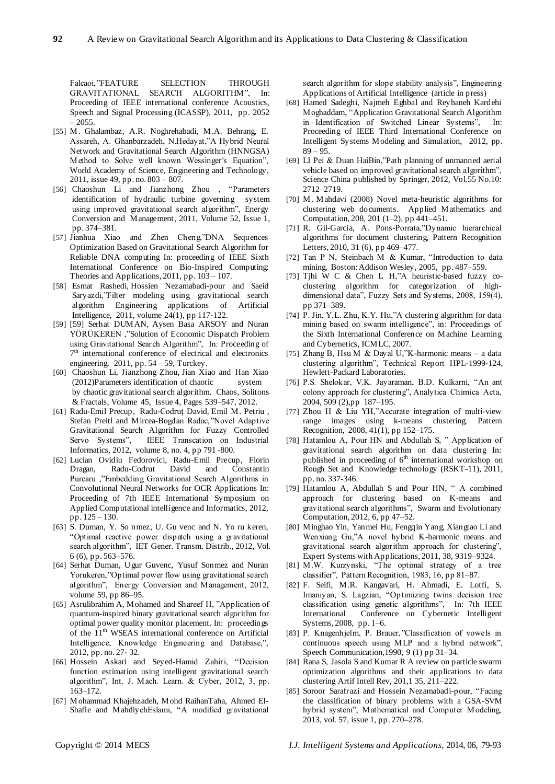Falcaoi, "FEATURE SELECTION THROUGH GRAVITATIONAL SEARCH ALGORITHM", In: Proceeding of IEEE international conference Acoustics, Speech and Signal Processing (ICASSP), 2011, pp. 2052 – 2055.

- [55] M. Ghalambaz, A.R. Noghrehabadi, M.A. Behrang, E. Assareh, A. Ghanbarzadeh, N.Hedayat,"A Hybrid Neural Network and Gravitational Search Algorithm (HNNGSA) Method to Solve well known Wessinger's Equation", World Academy of Science, Engineering and Technology, 2011, issue 49, pp. no. 803 – 807.
- [56] [Chaoshun](http://www.sciencedirect.com/science/article/pii/S0960077912000501) Li and [Jianzhong](http://www.sciencedirect.com/science/article/pii/S0960077912000501) Zhou , "Parameters identification of hydraulic turbine governing system using improved gravitational search algorithm", Energy [Conversion and Management,](http://www.sciencedirect.com/science/journal/01968904) 2011[, Volume 52, Issue 1,](http://www.sciencedirect.com/science/journal/01968904/52/1) pp. 374–381.
- [57] Jianhua Xiao and Zhen Cheng,"DNA Sequences Optimization Based on Gravitational Search Algorithm for Reliable DNA computing In: proceeding of IEEE Sixth International Conference on Bio-Inspired Computing: Theories and Applications, 2011, pp. 103 – 107.
- [58] [Esmat Rashedi,](http://www.sciencedirect.com/science/article/pii/S0952197610001120) [Hossien Nezamabadi-pour](http://www.sciencedirect.com/science/article/pii/S0952197610001120) and [Saeid](http://www.sciencedirect.com/science/article/pii/S0952197610001120)  [Saryazdi,](http://www.sciencedirect.com/science/article/pii/S0952197610001120)"Filter modeling using gravitational search algorithm Engineering applications of Artificial Intelligence, 2011, volume 24(1), pp 117-122.
- [59] [59] Serhat DUMAN, Aysen Basa ARSOY and Nuran YÖRÜKEREN, "Solution of Economic Dispatch Problem using Gravitational Search Algorithm", In: Proceeding of 7 th international conference of electrical and electronics engineering,  $2011$ , pp.  $54 - 59$ , Turckey.
- [60] [Chaoshun](http://www.sciencedirect.com/science/article/pii/S0960077912000501) Li, [Jianzhong](http://www.sciencedirect.com/science/article/pii/S0960077912000501) Zhou, [Jian Xiao](http://www.sciencedirect.com/science/article/pii/S0960077912000501) and [Han Xiao](http://www.sciencedirect.com/science/article/pii/S0960077912000501) (2012)Parameters identification of chaotic system by chaotic gravitational search algorithm. [Chaos, Solitons](http://www.sciencedirect.com/science/journal/09600779)  [& Fractals,](http://www.sciencedirect.com/science/journal/09600779) [Volume 45, Issue 4,](http://www.sciencedirect.com/science/journal/09600779/45/4) Pages 539–547, 2012.
- [61] Radu-Emil Precup, Radu-Codruţ David, Emil M. Petriu , Stefan Preitl and Mircea-Bogdan Radac,"Novel Adaptive Gravitational Search Algorithm for Fuzzy Controlled Servo Systems", IEEE Transcation on Industrial Informatics, 2012, volume 8, no. 4, pp 791 -800.
- [62] Lucian Ovidiu Fedorovici, Radu-Emil Precup, Florin Dragan, Radu-Codrut David and Constantin Purcaru ,"Embedding Gravitational Search Algorithms in Convolutional Neural Networks for OCR Applications In: Proceeding of 7th IEEE International Symposium on Applied Computational intelligence and Informatics, 2012, pp. 125 – 130.
- [63] S. Duman, Y. So nmez, U. Gu venc and N. Yo ru keren, ―Optimal reactive power dispatch using a gravitational search algorithm", IET Gener. Transm. Distrib., 2012, Vol. 6 (6), pp. 563–576.
- [64] Serhat Duman, Ugur Guvenc, Yusuf Sonmez and Nuran Yorukeren, "Optimal power flow using gravitational search algorithm", Energy Conversion and Management, 2012, volume 59, pp 86–95.
- [65] Asrulibrahim A, Mohamed and Shareef H, "Application of quantum-inspired binary gravitational search algorithm for optimal power quality monitor placement. In: proceedings of the 11<sup>th</sup> WSEAS international conference on Artificial Intelligence, Knowledge Engineering and Database,", 2012, pp. no. 27- 32.
- [66] Hossein Askari and Seyed-Hamid Zahiri, "Decision function estimation using intelligent gravitational search algorithm", Int. J. Mach. Learn. & Cyber, 2012, 3, pp. 163–172.
- [67] Mohammad Khajehzadeh, Mohd RaihanTaha, Ahmed El-Shafie and MahdiyehEslami, "A modified gravitational

search algorithm for slope stability analysis", Engineering Applications of Artificial Intelligence (article in press)

- [68] Hamed Sadeghi, Najmeh Eghbal and Reyhaneh Kardehi Moghaddam, "Application Gravitational Search Algorithm in Identification of Switched Linear Systems", In: Proceeding of IEEE Third International Conference on Intelligent Systems Modeling and Simulation, 2012, pp.  $89 - 95.$
- [69] LI Pei & Duan HaiBin,"Path planning of unmanned aerial vehicle based on improved gravitational search algorithm". Science China published by Springer, 2012, Vol.55 No.10: 2712–2719.
- [70] M. Mahdavi (2008) Novel meta-heuristic algorithms for clustering web documents. Applied Mathematics and Computation, 208, 201 (1–2), pp 441–451.
- [71] R. Gil-Garcia, A. Pons-Porrata,"Dynamic hierarchical algorithms for document clustering, Pattern Recognition Letters, 2010, 31 (6), pp 469–477.
- [72] Tan P N, Steinbach M & Kumar, "Introduction to data mining, Boston: Addison Wesley, 2005, pp. 487–559.
- [73] Tjhi W C & Chen L H,"A heuristic-based fuzzy coclustering algorithm for categorization of highdimensional data", Fuzzy Sets and Systems, 2008, 159(4), pp 371–389.
- [74] P. Jin, Y.L. Zhu, K.Y. Hu,"A clustering algorithm for data mining based on swarm intelligence", in: Proceedings of the Sixth International Conference on Machine Learning and Cybernetics, ICMLC, 2007.
- [75] Zhang B, Hsu M & Dayal U,"K-harmonic means a data clustering algorithm", Technical Report HPL-1999-124, Hewlett-Packard Laboratories.
- [76] P.S. Shelokar, V.K. Jayaraman, B.D. Kulkarni, "An ant colony approach for clustering", Analytica Chimica Acta, 2004, 509 (2),pp 187–195.
- [77] Zhou H & Liu YH,"Accurate integration of multi-view range images using k-means clustering. Pattern Recognition, 2008, 41(1), pp 152–175.
- [78] Hatamlou A, Pour HN and Abdullah S, "Application of gravitational search algorithm on data clustering In: published in proceeding of  $6<sup>th</sup>$  international workshop on Rough Set and Knowledge technology (RSKT-11), 2011, pp. no. 337-346.
- [79] Hatamlou [A,](http://link.springer.com/search?facet-author=%22Abdolreza+Hatamlou%22) Abdullah [S](http://link.springer.com/search?facet-author=%22Salwani+Abdullah%22) and Pour HN, "A combined approach for clustering based on K-means and gravitational search algorithms", Swarm and Evolutionary Computation, 2012, 6, pp 47–52.
- [80] Minghao Yin, Yanmei Hu, Fengqin Yang, Xiangtao Li and Wenxiang Gu,"A novel hybrid K-harmonic means and gravitational search algorithm approach for clustering", Expert Systems with Applications, 2011, 38, 9319–9324.
- [81] M.W. Kurzynski, "The optimal strategy of a tree classifier", Pattern Recognition, 1983, 16, pp 81-87.
- [82] F. Seifi, M.R. Kangavari, H. Ahmadi, E. Lotfi, S. Imaniyan, S. Lagzian, "Optimizing twins decision tree classification using genetic algorithms", In: 7th IEEE International Conference on Cybernetic Intelligent Systems, 2008, pp. 1–6.
- [83] P. Knagenhjelm, P. Brauer,"Classification of vowels in continuous speech using MLP and a hybrid network", Speech Communication,1990, 9 (1) pp 31–34.
- [84] Rana S, Jasola S and Kumar R A review on particle swarm optimization algorithms and their applications to data clustering Artif Intell Rev, 201,1 35, 211–222.
- [85] Soroor Sarafrazi and Hossein Nezamabadi-pour, "Facing the classification of binary problems with a GSA-SVM hybrid system", Mathematical and Computer Modeling, 2013, vol. 57, issue 1, pp. 270–278.